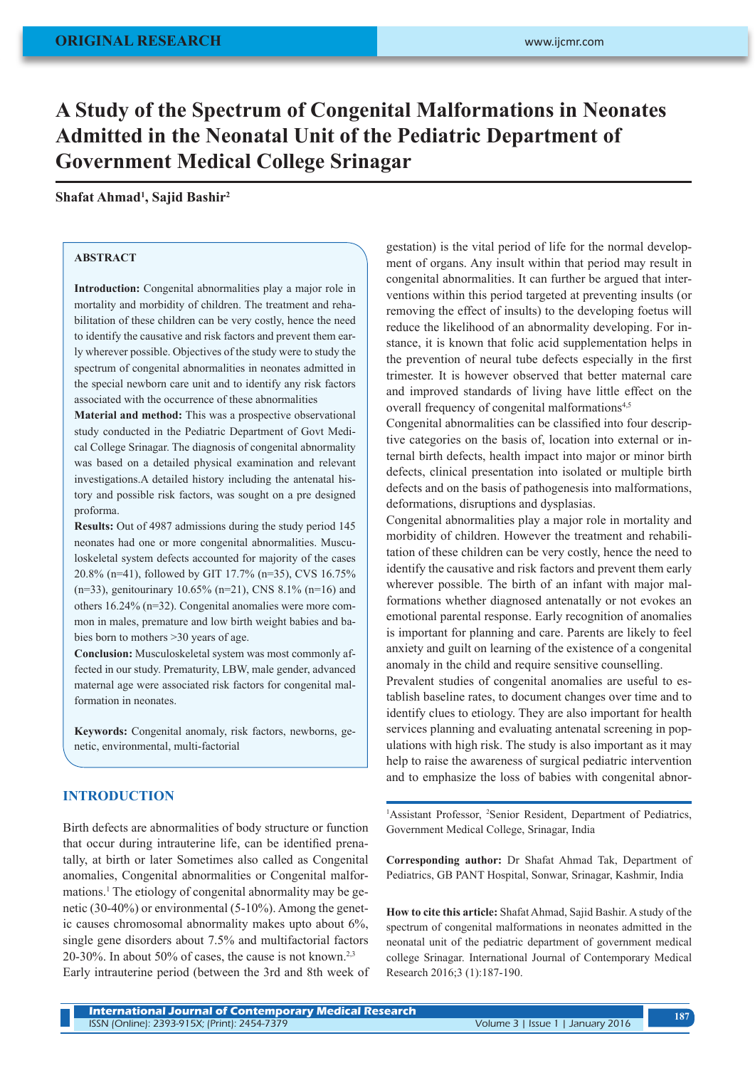# **A Study of the Spectrum of Congenital Malformations in Neonates Admitted in the Neonatal Unit of the Pediatric Department of Government Medical College Srinagar**

# **Shafat Ahmad1 , Sajid Bashir2**

### **ABSTRACT**

**Introduction:** Congenital abnormalities play a major role in mortality and morbidity of children. The treatment and rehabilitation of these children can be very costly, hence the need to identify the causative and risk factors and prevent them early wherever possible. Objectives of the study were to study the spectrum of congenital abnormalities in neonates admitted in the special newborn care unit and to identify any risk factors associated with the occurrence of these abnormalities

**Material and method:** This was a prospective observational study conducted in the Pediatric Department of Govt Medical College Srinagar. The diagnosis of congenital abnormality was based on a detailed physical examination and relevant investigations.A detailed history including the antenatal history and possible risk factors, was sought on a pre designed proforma.

**Results:** Out of 4987 admissions during the study period 145 neonates had one or more congenital abnormalities. Musculoskeletal system defects accounted for majority of the cases 20.8% (n=41), followed by GIT 17.7% (n=35), CVS 16.75% (n=33), genitourinary 10.65% (n=21), CNS 8.1% (n=16) and others 16.24% (n=32). Congenital anomalies were more common in males, premature and low birth weight babies and babies born to mothers >30 years of age.

**Conclusion:** Musculoskeletal system was most commonly affected in our study. Prematurity, LBW, male gender, advanced maternal age were associated risk factors for congenital malformation in neonates.

**Keywords:** Congenital anomaly, risk factors, newborns, genetic, environmental, multi-factorial

### **INTRODUCTION**

Birth defects are abnormalities of body structure or function that occur during intrauterine life, can be identified prenatally, at birth or later Sometimes also called as Congenital anomalies, Congenital abnormalities or Congenital malformations.<sup>1</sup> The etiology of congenital abnormality may be genetic (30-40%) or environmental (5-10%). Among the genetic causes chromosomal abnormality makes upto about 6%, single gene disorders about 7.5% and multifactorial factors 20-30%. In about 50% of cases, the cause is not known.<sup>2,3</sup> Early intrauterine period (between the 3rd and 8th week of gestation) is the vital period of life for the normal development of organs. Any insult within that period may result in congenital abnormalities. It can further be argued that interventions within this period targeted at preventing insults (or removing the effect of insults) to the developing foetus will reduce the likelihood of an abnormality developing. For instance, it is known that folic acid supplementation helps in the prevention of neural tube defects especially in the first trimester. It is however observed that better maternal care and improved standards of living have little effect on the overall frequency of congenital malformations<sup>4,5</sup>

Congenital abnormalities can be classified into four descriptive categories on the basis of, location into external or internal birth defects, health impact into major or minor birth defects, clinical presentation into isolated or multiple birth defects and on the basis of pathogenesis into malformations, deformations, disruptions and dysplasias.

Congenital abnormalities play a major role in mortality and morbidity of children. However the treatment and rehabilitation of these children can be very costly, hence the need to identify the causative and risk factors and prevent them early wherever possible. The birth of an infant with major malformations whether diagnosed antenatally or not evokes an emotional parental response. Early recognition of anomalies is important for planning and care. Parents are likely to feel anxiety and guilt on learning of the existence of a congenital anomaly in the child and require sensitive counselling.

Prevalent studies of congenital anomalies are useful to establish baseline rates, to document changes over time and to identify clues to etiology. They are also important for health services planning and evaluating antenatal screening in populations with high risk. The study is also important as it may help to raise the awareness of surgical pediatric intervention and to emphasize the loss of babies with congenital abnor-

<sup>1</sup>Assistant Professor, <sup>2</sup>Senior Resident, Department of Pediatrics, Government Medical College, Srinagar, India

**Corresponding author:** Dr Shafat Ahmad Tak, Department of Pediatrics, GB PANT Hospital, Sonwar, Srinagar, Kashmir, India

**How to cite this article:** Shafat Ahmad, Sajid Bashir. A study of the spectrum of congenital malformations in neonates admitted in the neonatal unit of the pediatric department of government medical college Srinagar. International Journal of Contemporary Medical Research 2016;3 (1):187-190.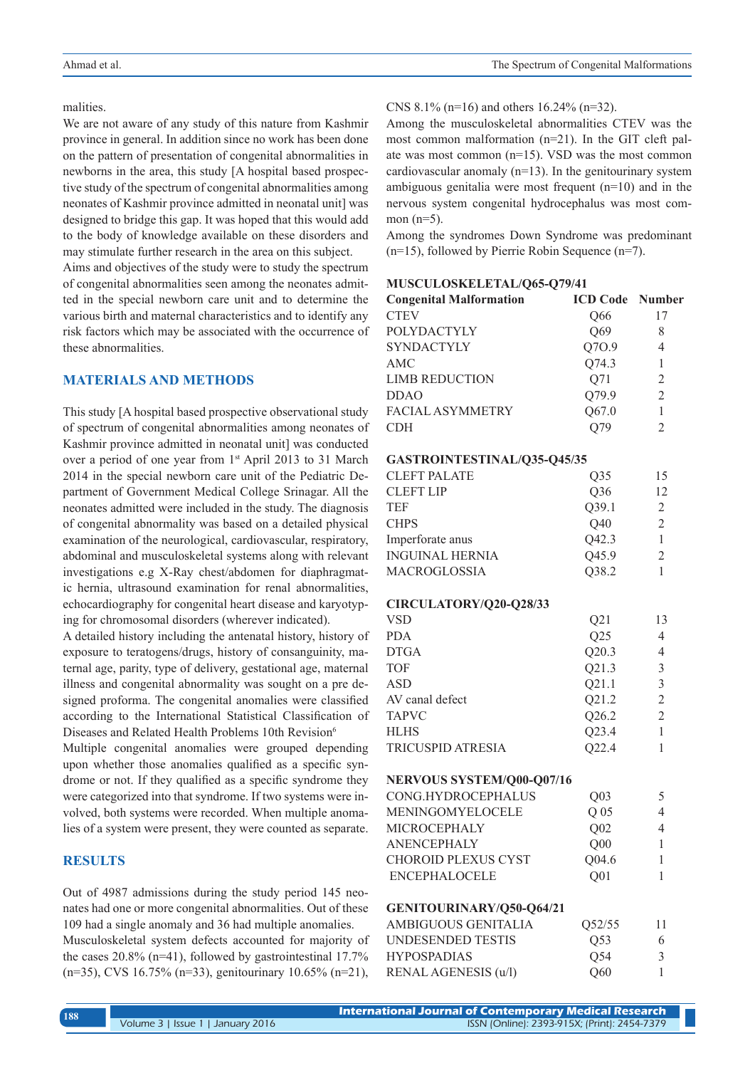### malities.

We are not aware of any study of this nature from Kashmir province in general. In addition since no work has been done on the pattern of presentation of congenital abnormalities in newborns in the area, this study [A hospital based prospective study of the spectrum of congenital abnormalities among neonates of Kashmir province admitted in neonatal unit] was designed to bridge this gap. It was hoped that this would add to the body of knowledge available on these disorders and may stimulate further research in the area on this subject.

Aims and objectives of the study were to study the spectrum of congenital abnormalities seen among the neonates admitted in the special newborn care unit and to determine the various birth and maternal characteristics and to identify any risk factors which may be associated with the occurrence of these abnormalities.

# **MATERIALS AND METHODS**

This study [A hospital based prospective observational study of spectrum of congenital abnormalities among neonates of Kashmir province admitted in neonatal unit] was conducted over a period of one year from 1<sup>st</sup> April 2013 to 31 March 2014 in the special newborn care unit of the Pediatric Department of Government Medical College Srinagar. All the neonates admitted were included in the study. The diagnosis of congenital abnormality was based on a detailed physical examination of the neurological, cardiovascular, respiratory, abdominal and musculoskeletal systems along with relevant investigations e.g X-Ray chest/abdomen for diaphragmatic hernia, ultrasound examination for renal abnormalities, echocardiography for congenital heart disease and karyotyping for chromosomal disorders (wherever indicated).

A detailed history including the antenatal history, history of exposure to teratogens/drugs, history of consanguinity, maternal age, parity, type of delivery, gestational age, maternal illness and congenital abnormality was sought on a pre designed proforma. The congenital anomalies were classified according to the International Statistical Classification of Diseases and Related Health Problems 10th Revision<sup>6</sup>

Multiple congenital anomalies were grouped depending upon whether those anomalies qualified as a specific syndrome or not. If they qualified as a specific syndrome they were categorized into that syndrome. If two systems were involved, both systems were recorded. When multiple anomalies of a system were present, they were counted as separate.

### **RESULTS**

Out of 4987 admissions during the study period 145 neonates had one or more congenital abnormalities. Out of these 109 had a single anomaly and 36 had multiple anomalies. Musculoskeletal system defects accounted for majority of the cases 20.8% (n=41), followed by gastrointestinal 17.7% (n=35), CVS 16.75% (n=33), genitourinary 10.65% (n=21),

### CNS 8.1% (n=16) and others 16.24% (n=32).

Among the musculoskeletal abnormalities CTEV was the most common malformation (n=21). In the GIT cleft palate was most common (n=15). VSD was the most common cardiovascular anomaly (n=13). In the genitourinary system ambiguous genitalia were most frequent (n=10) and in the nervous system congenital hydrocephalus was most common  $(n=5)$ .

Among the syndromes Down Syndrome was predominant (n=15), followed by Pierrie Robin Sequence (n=7).

# **MUSCULOSKELETAL/Q65-Q79/41 Congenital Malformation ICD Code Number** CTEV Q66 17

| <b>POLYDACTYLY</b>          | Q69             | 8              |
|-----------------------------|-----------------|----------------|
| <b>SYNDACTYLY</b>           | Q70.9           | $\overline{4}$ |
| AMC                         | Q74.3           | $\mathbf{1}$   |
| <b>LIMB REDUCTION</b>       | Q71             | $\overline{2}$ |
| <b>DDAO</b>                 | Q79.9           | $\overline{2}$ |
| <b>FACIAL ASYMMETRY</b>     | Q67.0           | $\mathbf{1}$   |
| <b>CDH</b>                  | Q79             | $\overline{2}$ |
| GASTROINTESTINAL/Q35-Q45/35 |                 |                |
| <b>CLEFT PALATE</b>         | Q35             | 15             |
| <b>CLEFT LIP</b>            | Q36             | 12             |
| <b>TEF</b>                  | Q39.1           | $\mathfrak{2}$ |
| <b>CHPS</b>                 | Q40             | $\overline{2}$ |
| Imperforate anus            | Q42.3           | $\mathbf{1}$   |
| <b>INGUINAL HERNIA</b>      | Q45.9           | $\overline{2}$ |
| MACROGLOSSIA                | Q38.2           | 1              |
| CIRCULATORY/Q20-Q28/33      |                 |                |
| <b>VSD</b>                  | Q21             | 13             |
| <b>PDA</b>                  | Q25             | $\overline{4}$ |
| <b>DTGA</b>                 | Q20.3           | 4              |
| <b>TOF</b>                  | Q21.3           | $\mathfrak{Z}$ |
| <b>ASD</b>                  | Q21.1           | $\overline{3}$ |
| AV canal defect             | Q21.2           | $\overline{2}$ |
| <b>TAPVC</b>                | Q26.2           | $\overline{2}$ |
| <b>HLHS</b>                 | Q23.4           | $\mathbf{1}$   |
| <b>TRICUSPID ATRESIA</b>    | Q22.4           | 1              |
| NERVOUS SYSTEM/Q00-Q07/16   |                 |                |
| CONG.HYDROCEPHALUS          | Q <sub>03</sub> | 5              |
| MENINGOMYELOCELE            | Q <sub>05</sub> | 4              |
| MICROCEPHALY                | Q <sub>02</sub> | $\overline{4}$ |
| <b>ANENCEPHALY</b>          | Q00             | 1              |
| CHOROID PLEXUS CYST         | Q04.6           | 1              |
| <b>ENCEPHALOCELE</b>        | Q <sub>01</sub> | 1              |
| GENITOURINARY/Q50-Q64/21    |                 |                |
| AMBIGUOUS GENITALIA         | Q52/55          | 11             |
| <b>UNDESENDED TESTIS</b>    | Q53             | 6              |
| <b>HYPOSPADIAS</b>          | Q54             | 3              |
| RENAL AGENESIS (u/l)        | Q60             | 1              |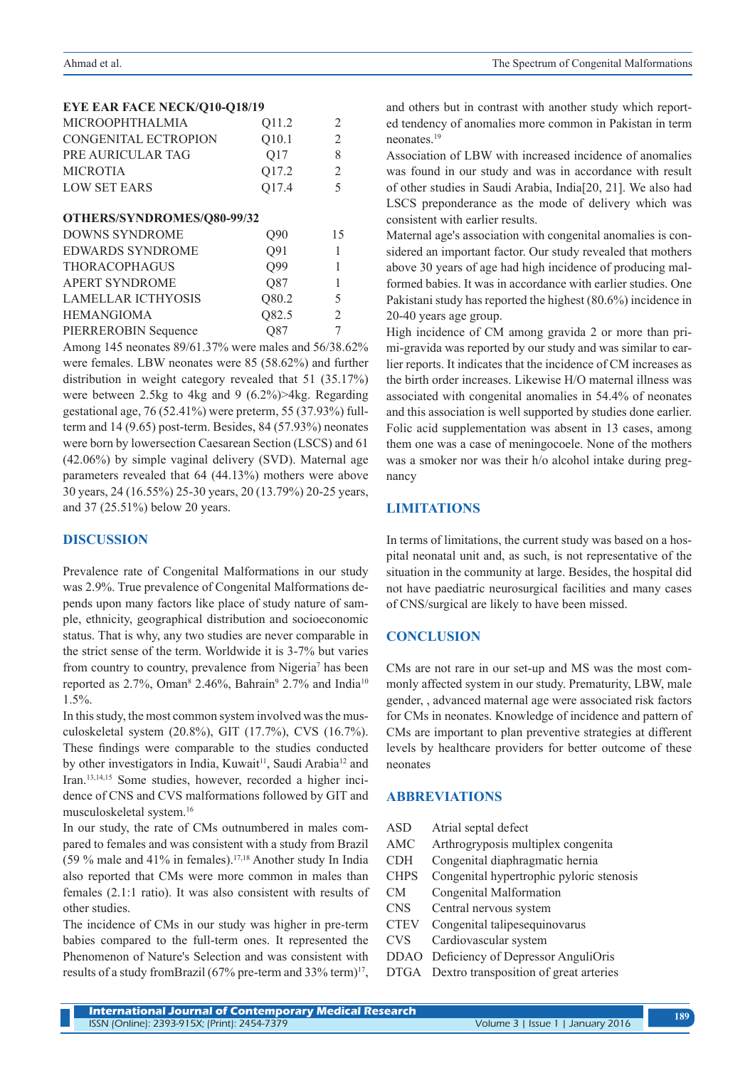### **EYE EAR FACE NECK/Q10-Q18/19**

| <b>MICROOPHTHALMIA</b> | O <sub>11.2</sub> |   |
|------------------------|-------------------|---|
| CONGENITAL ECTROPION   | O <sub>10.1</sub> |   |
| PRE AURICULAR TAG      | O <sub>17</sub>   | x |
| <b>MICROTIA</b>        | O <sub>17.2</sub> |   |
| <b>LOW SET EARS</b>    | O <sub>17.4</sub> | 5 |
|                        |                   |   |

| OTHERS/SYNDROMES/Q80-99/32 |                 |    |  |  |
|----------------------------|-----------------|----|--|--|
| DOWNS SYNDROME             | O <sub>90</sub> | 15 |  |  |
| <b>EDWARDS SYNDROME</b>    | Q91             |    |  |  |
| <b>THORACOPHAGUS</b>       | O99             |    |  |  |
| <b>APERT SYNDROME</b>      | Q87             |    |  |  |
| <b>LAMELLAR ICTHYOSIS</b>  | Q80.2           | 5  |  |  |
| <b>HEMANGIOMA</b>          | Q82.5           | 2  |  |  |
| PIERREROBIN Sequence       | О87             |    |  |  |

Among 145 neonates 89/61.37% were males and 56/38.62% were females. LBW neonates were 85 (58.62%) and further distribution in weight category revealed that 51 (35.17%) were between 2.5kg to 4kg and 9 (6.2%)>4kg. Regarding gestational age, 76 (52.41%) were preterm, 55 (37.93%) fullterm and 14 (9.65) post-term. Besides, 84 (57.93%) neonates were born by lowersection Caesarean Section (LSCS) and 61 (42.06%) by simple vaginal delivery (SVD). Maternal age parameters revealed that 64 (44.13%) mothers were above 30 years, 24 (16.55%) 25-30 years, 20 (13.79%) 20-25 years, and 37 (25.51%) below 20 years.

### **DISCUSSION**

Prevalence rate of Congenital Malformations in our study was 2.9%. True prevalence of Congenital Malformations depends upon many factors like place of study nature of sample, ethnicity, geographical distribution and socioeconomic status. That is why, any two studies are never comparable in the strict sense of the term. Worldwide it is 3-7% but varies from country to country, prevalence from Nigeria<sup>7</sup> has been reported as 2.7%, Oman<sup>8</sup> 2.46%, Bahrain<sup>9</sup> 2.7% and India<sup>10</sup> 1.5%.

In this study, the most common system involved was the musculoskeletal system (20.8%), GIT (17.7%), CVS (16.7%). These findings were comparable to the studies conducted by other investigators in India, Kuwait<sup>11</sup>, Saudi Arabia<sup>12</sup> and Iran.13,14,15 Some studies, however, recorded a higher incidence of CNS and CVS malformations followed by GIT and musculoskeletal system.16

In our study, the rate of CMs outnumbered in males compared to females and was consistent with a study from Brazil (59 % male and 41% in females).17,18 Another study In India also reported that CMs were more common in males than females (2.1:1 ratio). It was also consistent with results of other studies.

The incidence of CMs in our study was higher in pre-term babies compared to the full-term ones. It represented the Phenomenon of Nature's Selection and was consistent with results of a study fromBrazil (67% pre-term and 33% term)<sup>17</sup>, and others but in contrast with another study which reported tendency of anomalies more common in Pakistan in term neonates.19

Association of LBW with increased incidence of anomalies was found in our study and was in accordance with result of other studies in Saudi Arabia, India[20, 21]. We also had LSCS preponderance as the mode of delivery which was consistent with earlier results.

Maternal age's association with congenital anomalies is considered an important factor. Our study revealed that mothers above 30 years of age had high incidence of producing malformed babies. It was in accordance with earlier studies. One Pakistani study has reported the highest (80.6%) incidence in 20-40 years age group.

High incidence of CM among gravida 2 or more than primi-gravida was reported by our study and was similar to earlier reports. It indicates that the incidence of CM increases as the birth order increases. Likewise H/O maternal illness was associated with congenital anomalies in 54.4% of neonates and this association is well supported by studies done earlier. Folic acid supplementation was absent in 13 cases, among them one was a case of meningocoele. None of the mothers was a smoker nor was their h/o alcohol intake during pregnancy

# **LIMITATIONS**

In terms of limitations, the current study was based on a hospital neonatal unit and, as such, is not representative of the situation in the community at large. Besides, the hospital did not have paediatric neurosurgical facilities and many cases of CNS/surgical are likely to have been missed.

### **CONCLUSION**

CMs are not rare in our set-up and MS was the most commonly affected system in our study. Prematurity, LBW, male gender, , advanced maternal age were associated risk factors for CMs in neonates. Knowledge of incidence and pattern of CMs are important to plan preventive strategies at different levels by healthcare providers for better outcome of these neonates

### **ABBREVIATIONS**

- ASD Atrial septal defect
- AMC Arthrogryposis multiplex congenita
- CDH Congenital diaphragmatic hernia
- CHPS Congenital hypertrophic pyloric stenosis
- CM Congenital Malformation
- CNS Central nervous system
- CTEV Congenital talipesequinovarus
- CVS Cardiovascular system
- DDAO Deficiency of Depressor AnguliOris
- DTGA Dextro transposition of great arteries